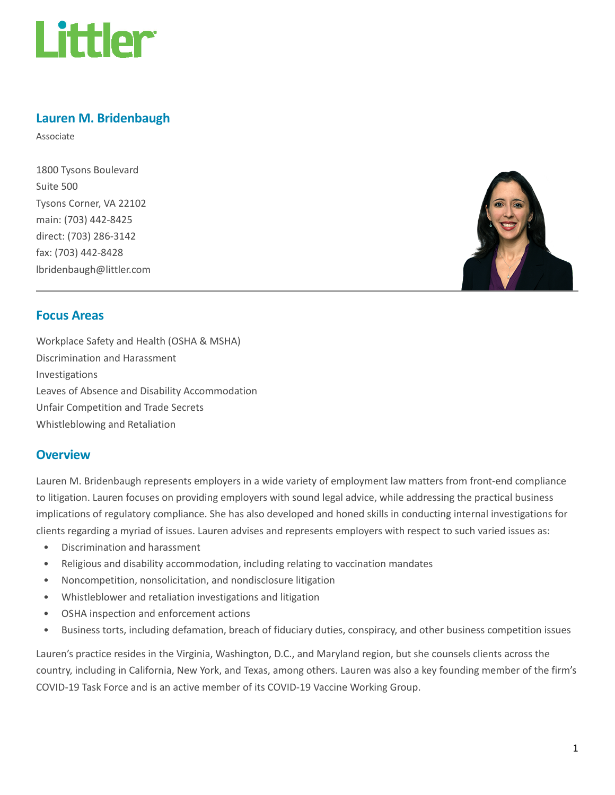

## Lauren M. Bridenbaugh

Associate

1800 Tysons Boulevard Suite 500 Tysons Corner, VA 22102 main: (703) 442-8425 direct: (703) 286-3142 fax: (703) 442-8428 lbridenbaugh@littler.com



#### Focus Areas

Workplace Safety and Health (OSHA & MSHA) Discrimination and Harassment Investigations Leaves of Absence and Disability Accommodation Unfair Competition and Trade Secrets Whistleblowing and Retaliation

#### **Overview**

Lauren M. Bridenbaugh represents employers in a wide variety of employment law matters from front-end compliance to litigation. Lauren focuses on providing employers with sound legal advice, while addressing the practical business implications of regulatory compliance. She has also developed and honed skills in conducting internal investigations for clients regarding a myriad of issues. Lauren advises and represents employers with respect to such varied issues as:

- Discrimination and harassment
- Religious and disability accommodation, including relating to vaccination mandates
- Noncompetition, nonsolicitation, and nondisclosure litigation
- Whistleblower and retaliation investigations and litigation
- OSHA inspection and enforcement actions
- Business torts, including defamation, breach of fiduciary duties, conspiracy, and other business competition issues

Lauren's practice resides in the Virginia, Washington, D.C., and Maryland region, but she counsels clients across the country, including in California, New York, and Texas, among others. Lauren was also a key founding member of the firm's COVID-19 Task Force and is an active member of its COVID-19 Vaccine Working Group.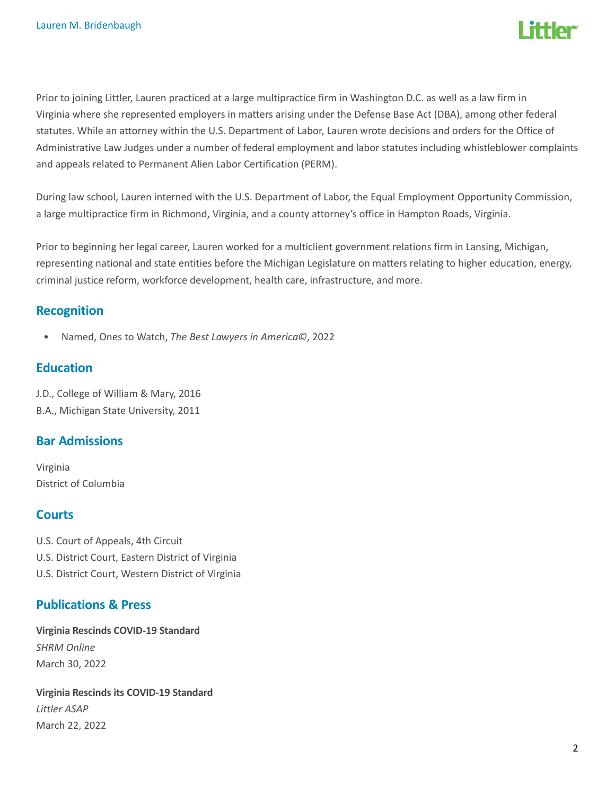

Prior to joining Littler, Lauren practiced at a large multipractice firm in Washington D.C. as well as a law firm in Virginia where she represented employers in matters arising under the Defense Base Act (DBA), among other federal statutes. While an attorney within the U.S. Department of Labor, Lauren wrote decisions and orders for the Office of Administrative Law Judges under a number of federal employment and labor statutes including whistleblower complaints and appeals related to Permanent Alien Labor Certification (PERM).

During law school, Lauren interned with the U.S. Department of Labor, the Equal Employment Opportunity Commission, a large multipractice firm in Richmond, Virginia, and a county attorney's office in Hampton Roads, Virginia.

Prior to beginning her legal career, Lauren worked for a multiclient government relations firm in Lansing, Michigan, representing national and state entities before the Michigan Legislature on matters relating to higher education, energy, criminal justice reform, workforce development, health care, infrastructure, and more.

#### Recognition

• Named, Ones to Watch, The Best Lawyers in America©, 2022

#### **Education**

J.D., College of William & Mary, 2016 B.A., Michigan State University, 2011

## Bar Admissions

Virginia District of Columbia

## **Courts**

U.S. Court of Appeals, 4th Circuit U.S. District Court, Eastern District of Virginia U.S. District Court, Western District of Virginia

## Publications & Press

Virginia Rescinds COVID-19 Standard SHRM Online March 30, 2022

Virginia Rescinds its COVID-19 Standard Littler ASAP March 22, 2022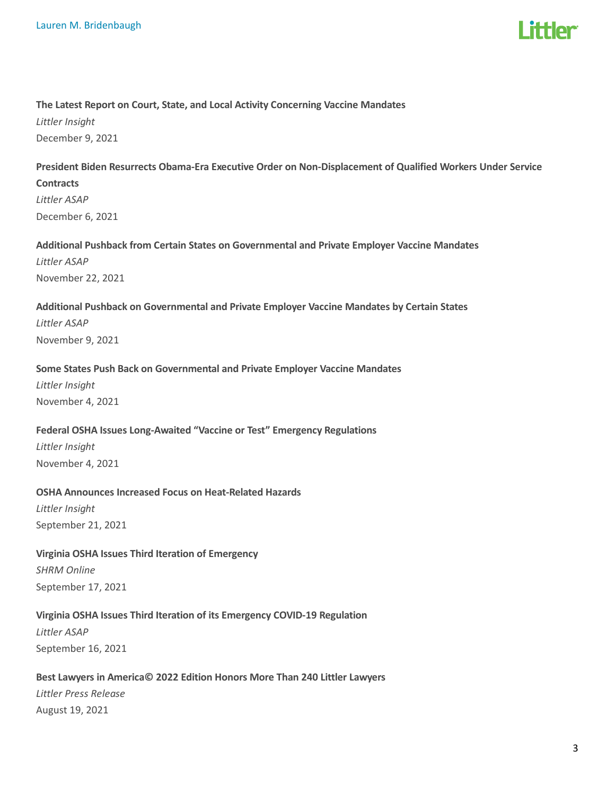

#### The Latest Report on Court, State, and Local Activity Concerning Vaccine Mandates

Littler Insight December 9, 2021

## President Biden Resurrects Obama-Era Executive Order on Non-Displacement of Qualified Workers Under Service

**Contracts** Littler ASAP December 6, 2021

## Additional Pushback from Certain States on Governmental and Private Employer Vaccine Mandates

Littler ASAP November 22, 2021

#### Additional Pushback on Governmental and Private Employer Vaccine Mandates by Certain States Littler ASAP

November 9, 2021

#### Some States Push Back on Governmental and Private Employer Vaccine Mandates

Littler Insight November 4, 2021

#### Federal OSHA Issues Long-Awaited "Vaccine or Test" Emergency Regulations

Littler Insight November 4, 2021

#### OSHA Announces Increased Focus on Heat-Related Hazards

Littler Insight September 21, 2021

#### Virginia OSHA Issues Third Iteration of Emergency

SHRM Online September 17, 2021

#### Virginia OSHA Issues Third Iteration of its Emergency COVID-19 Regulation

Littler ASAP September 16, 2021

#### Best Lawyers in America© 2022 Edition Honors More Than 240 Littler Lawyers

Littler Press Release August 19, 2021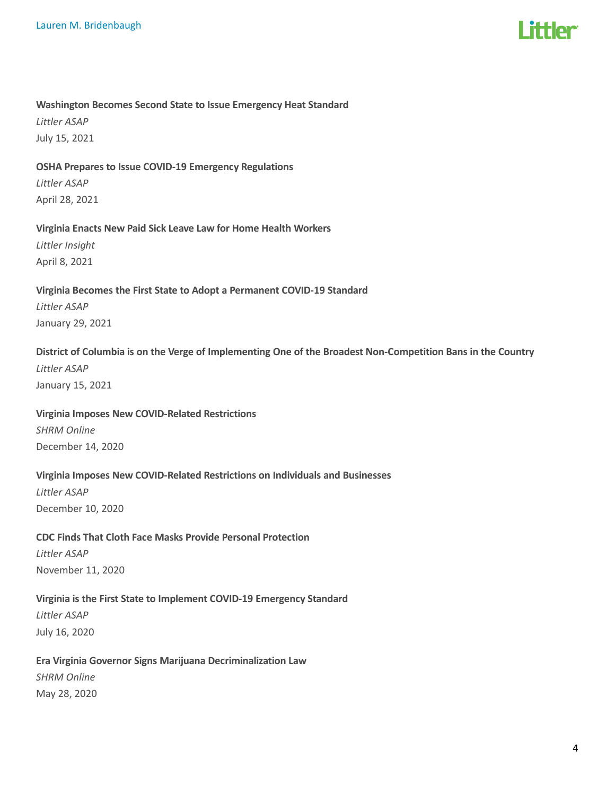# l ittler

#### Washington Becomes Second State to Issue Emergency Heat Standard

Littler ASAP July 15, 2021

#### OSHA Prepares to Issue COVID-19 Emergency Regulations

Littler ASAP April 28, 2021

#### Virginia Enacts New Paid Sick Leave Law for Home Health Workers

Littler Insight April 8, 2021

#### Virginia Becomes the First State to Adopt a Permanent COVID-19 Standard Littler ASAP

January 29, 2021

#### District of Columbia is on the Verge of Implementing One of the Broadest Non-Competition Bans in the Country

Littler ASAP January 15, 2021

#### Virginia Imposes New COVID-Related Restrictions

SHRM Online December 14, 2020

#### Virginia Imposes New COVID-Related Restrictions on Individuals and Businesses

Littler ASAP December 10, 2020

## CDC Finds That Cloth Face Masks Provide Personal Protection Littler ASAP

November 11, 2020

#### Virginia is the First State to Implement COVID-19 Emergency Standard

Littler ASAP July 16, 2020

## Era Virginia Governor Signs Marijuana Decriminalization Law

SHRM Online May 28, 2020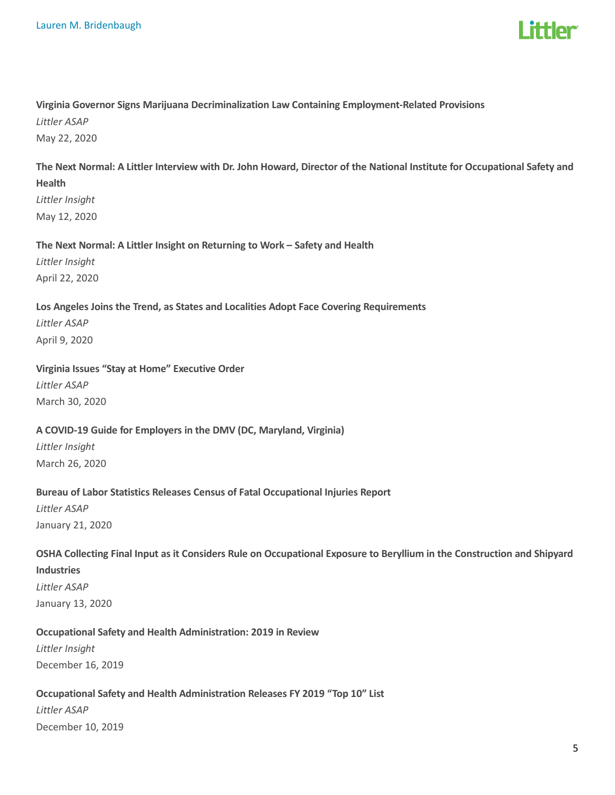

## Virginia Governor Signs Marijuana Decriminalization Law Containing Employment-Related Provisions Littler ASAP

May 22, 2020

## The Next Normal: A Littler Interview with Dr. John Howard, Director of the National Institute for Occupational Safety and Health

Littler Insight May 12, 2020

#### The Next Normal: A Littler Insight on Returning to Work – Safety and Health

Littler Insight April 22, 2020

## Los Angeles Joins the Trend, as States and Localities Adopt Face Covering Requirements Littler ASAP April 9, 2020

#### Virginia Issues "Stay at Home" Executive Order

Littler ASAP March 30, 2020

#### A COVID-19 Guide for Employers in the DMV (DC, Maryland, Virginia)

Littler Insight March 26, 2020

#### Bureau of Labor Statistics Releases Census of Fatal Occupational Injuries Report

Littler ASAP January 21, 2020

#### OSHA Collecting Final Input as it Considers Rule on Occupational Exposure to Beryllium in the Construction and Shipyard

Industries

Littler ASAP January 13, 2020

#### Occupational Safety and Health Administration: 2019 in Review

Littler Insight December 16, 2019

#### Occupational Safety and Health Administration Releases FY 2019 "Top 10" List

Littler ASAP December 10, 2019